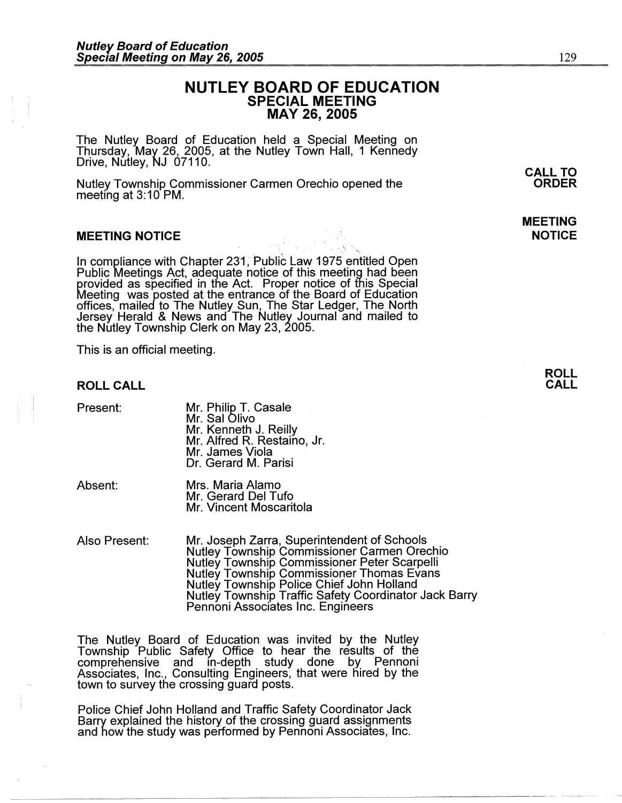## **NUTLEY BOARD OF EDUCATION SPECIAL MEETING MAY 26, 2005**

The Nutley Board of Education held a Special Meeting on Thursday, May 26, 2005, at the Nutley Town Hall, 1 Kennedy Drive, Nutley, NJ 07110.

Nutley Township Commissioner Carmen Orechio opened the meeting at 3:10 PM.

#### **MEETING NOTICE**

In compliance with Chapter 231; Public Law 1975 entitled Open Public Meetings Act, adequate notice of this meeting had been provided as specified in the Act. Proper notice of this Special Meeting was posted at the entrance of the Board of Education offices, mailed to The Nutley Sun, The Star Ledger, The North Jersey Herald & News and The Nutley Journal and mailed to the Nutley Township Clerk on May 23, 2005.

This is an official meeting.

#### **ROLL CALL**

Present: Mr. Philip T. Casale Mr. Sal Olivo Mr. Kenneth J. Reilly Mr. Alfred R. Restaino, Jr. Mr. James Viola Dr. Gerard M. Parisi

Absent: Mrs. Maria Alamo Mr. Gerard Del Tufo Mr. Vincent Moscaritola

Also Present: Mr. Joseph Zarra, Superintendent of Schools Nutley Township Commissioner Carmen Orechio Nutley Township Commissioner Peter Scarpelli Nutley Township Commissioner Thomas Evans Nutley Township Police Chief John Holland Nutley Township Traffic Safety Coordinator Jack Barry Pennoni Associates Inc. Engineers

The Nutley Board of Education was invited by the Nutley Township Public Safety Office to hear the results of the comprehensive and in-depth study done by Pennoni Associates, Inc., Consulting Engineers, that were hired by the town to survey the crossing guard posts.

Police Chief John Holland and Traffic Safety Coordinator Jack Barry explained the history of the crossing guard assignments and how the study was performed by Pennoni Associates, Inc.

## **MEETING NOTICE**

#### **ROLL CALL**